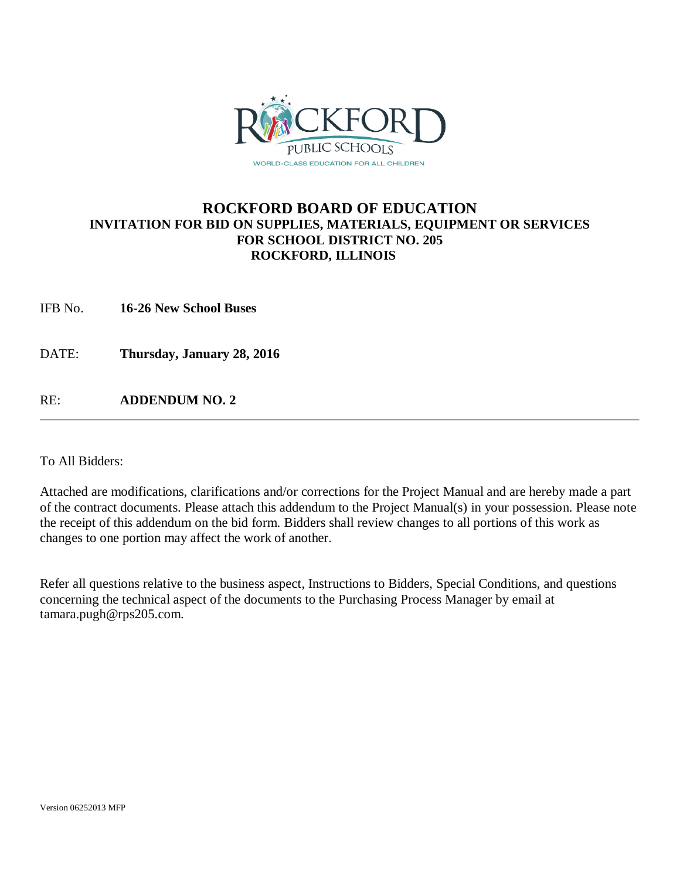

### **ROCKFORD BOARD OF EDUCATION INVITATION FOR BID ON SUPPLIES, MATERIALS, EQUIPMENT OR SERVICES FOR SCHOOL DISTRICT NO. 205 ROCKFORD, ILLINOIS**

IFB No. **16-26 New School Buses**

DATE: **Thursday, January 28, 2016**

RE: **ADDENDUM NO. 2**

To All Bidders:

Attached are modifications, clarifications and/or corrections for the Project Manual and are hereby made a part of the contract documents. Please attach this addendum to the Project Manual(s) in your possession. Please note the receipt of this addendum on the bid form. Bidders shall review changes to all portions of this work as changes to one portion may affect the work of another.

Refer all questions relative to the business aspect, Instructions to Bidders, Special Conditions, and questions concerning the technical aspect of the documents to the Purchasing Process Manager by email at tamara.pugh@rps205.com.